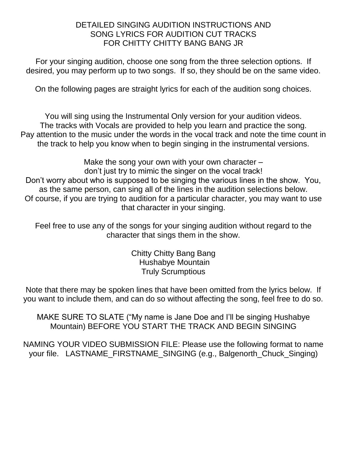## DETAILED SINGING AUDITION INSTRUCTIONS AND SONG LYRICS FOR AUDITION CUT TRACKS FOR CHITTY CHITTY BANG BANG JR

For your singing audition, choose one song from the three selection options. If desired, you may perform up to two songs. If so, they should be on the same video.

On the following pages are straight lyrics for each of the audition song choices.

You will sing using the Instrumental Only version for your audition videos. The tracks with Vocals are provided to help you learn and practice the song. Pay attention to the music under the words in the vocal track and note the time count in the track to help you know when to begin singing in the instrumental versions.

Make the song your own with your own character – don't just try to mimic the singer on the vocal track! Don't worry about who is supposed to be singing the various lines in the show. You, as the same person, can sing all of the lines in the audition selections below. Of course, if you are trying to audition for a particular character, you may want to use that character in your singing.

Feel free to use any of the songs for your singing audition without regard to the character that sings them in the show.

> Chitty Chitty Bang Bang Hushabye Mountain Truly Scrumptious

Note that there may be spoken lines that have been omitted from the lyrics below. If you want to include them, and can do so without affecting the song, feel free to do so.

MAKE SURE TO SLATE ("My name is Jane Doe and I'll be singing Hushabye Mountain) BEFORE YOU START THE TRACK AND BEGIN SINGING

NAMING YOUR VIDEO SUBMISSION FILE: Please use the following format to name your file. LASTNAME\_FIRSTNAME\_SINGING (e.g., Balgenorth\_Chuck\_Singing)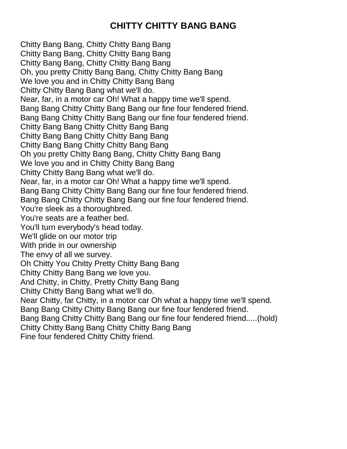## **CHITTY CHITTY BANG BANG**

Chitty Bang Bang, Chitty Chitty Bang Bang Chitty Bang Bang, Chitty Chitty Bang Bang Chitty Bang Bang, Chitty Chitty Bang Bang Oh, you pretty Chitty Bang Bang, Chitty Chitty Bang Bang We love you and in Chitty Chitty Bang Bang Chitty Chitty Bang Bang what we'll do. Near, far, in a motor car Oh! What a happy time we'll spend. Bang Bang Chitty Chitty Bang Bang our fine four fendered friend. Bang Bang Chitty Chitty Bang Bang our fine four fendered friend. Chitty Bang Bang Chitty Chitty Bang Bang Chitty Bang Bang Chitty Chitty Bang Bang Chitty Bang Bang Chitty Chitty Bang Bang Oh you pretty Chitty Bang Bang, Chitty Chitty Bang Bang We love you and in Chitty Chitty Bang Bang Chitty Chitty Bang Bang what we'll do. Near, far, in a motor car Oh! What a happy time we'll spend. Bang Bang Chitty Chitty Bang Bang our fine four fendered friend. Bang Bang Chitty Chitty Bang Bang our fine four fendered friend. You're sleek as a thoroughbred. You're seats are a feather bed. You'll turn everybody's head today. We'll glide on our motor trip With pride in our ownership The envy of all we survey. Oh Chitty You Chitty Pretty Chitty Bang Bang Chitty Chitty Bang Bang we love you. And Chitty, in Chitty, Pretty Chitty Bang Bang Chitty Chitty Bang Bang what we'll do. Near Chitty, far Chitty, in a motor car Oh what a happy time we'll spend. Bang Bang Chitty Chitty Bang Bang our fine four fendered friend. Bang Bang Chitty Chitty Bang Bang our fine four fendered friend.....(hold) Chitty Chitty Bang Bang Chitty Chitty Bang Bang

Fine four fendered Chitty Chitty friend.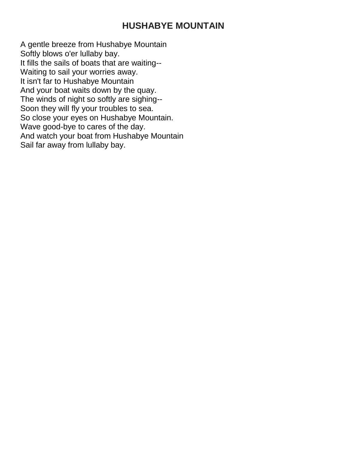## **HUSHABYE MOUNTAIN**

A gentle breeze from Hushabye Mountain Softly blows o'er lullaby bay. It fills the sails of boats that are waiting-- Waiting to sail your worries away. It isn't far to Hushabye Mountain And your boat waits down by the quay. The winds of night so softly are sighing-- Soon they will fly your troubles to sea. So close your eyes on Hushabye Mountain. Wave good-bye to cares of the day. And watch your boat from Hushabye Mountain Sail far away from lullaby bay.